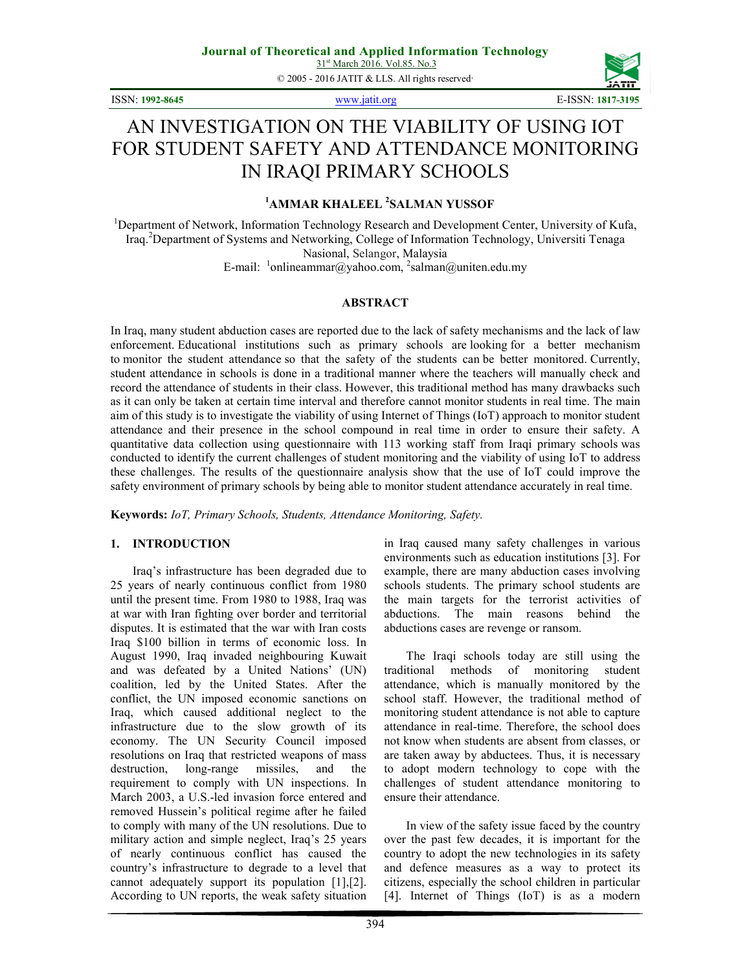© 2005 - 2016 JATIT & LLS. All rights reserved.



# AN INVESTIGATION ON THE VIABILITY OF USING IOT FOR STUDENT SAFETY AND ATTENDANCE MONITORING IN IRAQI PRIMARY SCHOOLS

# **<sup>1</sup>AMMAR KHALEEL <sup>2</sup> SALMAN YUSSOF**

<sup>1</sup>Department of Network, Information Technology Research and Development Center, University of Kufa, Iraq.<sup>2</sup>Department of Systems and Networking, College of Information Technology, Universiti Tenaga Nasional, Selangor, Malaysia E-mail:  $\frac{1}{2}$ onlineammar@yahoo.com,  $\frac{2}{3}$ salman@uniten.edu.my

#### **ABSTRACT**

In Iraq, many student abduction cases are reported due to the lack of safety mechanisms and the lack of law enforcement. Educational institutions such as primary schools are looking for a better mechanism to monitor the student attendance so that the safety of the students can be better monitored. Currently, student attendance in schools is done in a traditional manner where the teachers will manually check and record the attendance of students in their class. However, this traditional method has many drawbacks such as it can only be taken at certain time interval and therefore cannot monitor students in real time. The main aim of this study is to investigate the viability of using Internet of Things (IoT) approach to monitor student attendance and their presence in the school compound in real time in order to ensure their safety. A quantitative data collection using questionnaire with 113 working staff from Iraqi primary schools was conducted to identify the current challenges of student monitoring and the viability of using IoT to address these challenges. The results of the questionnaire analysis show that the use of IoT could improve the safety environment of primary schools by being able to monitor student attendance accurately in real time.

**Keywords:** *IoT, Primary Schools, Students, Attendance Monitoring, Safety.*

#### **1. INTRODUCTION**

Iraq's infrastructure has been degraded due to 25 years of nearly continuous conflict from 1980 until the present time. From 1980 to 1988, Iraq was at war with Iran fighting over border and territorial disputes. It is estimated that the war with Iran costs Iraq \$100 billion in terms of economic loss. In August 1990, Iraq invaded neighbouring Kuwait and was defeated by a United Nations' (UN) coalition, led by the United States. After the conflict, the UN imposed economic sanctions on Iraq, which caused additional neglect to the infrastructure due to the slow growth of its economy. The UN Security Council imposed resolutions on Iraq that restricted weapons of mass destruction, long-range missiles, and the requirement to comply with UN inspections. In March 2003, a U.S.-led invasion force entered and removed Hussein's political regime after he failed to comply with many of the UN resolutions. Due to military action and simple neglect, Iraq's 25 years of nearly continuous conflict has caused the country's infrastructure to degrade to a level that cannot adequately support its population [1],[2]. According to UN reports, the weak safety situation

in Iraq caused many safety challenges in various environments such as education institutions [3]. For example, there are many abduction cases involving schools students. The primary school students are the main targets for the terrorist activities of abductions. The main reasons behind the abductions cases are revenge or ransom.

The Iraqi schools today are still using the traditional methods of monitoring student attendance, which is manually monitored by the school staff. However, the traditional method of monitoring student attendance is not able to capture attendance in real-time. Therefore, the school does not know when students are absent from classes, or are taken away by abductees. Thus, it is necessary to adopt modern technology to cope with the challenges of student attendance monitoring to ensure their attendance.

In view of the safety issue faced by the country over the past few decades, it is important for the country to adopt the new technologies in its safety and defence measures as a way to protect its citizens, especially the school children in particular [4]. Internet of Things (IoT) is as a modern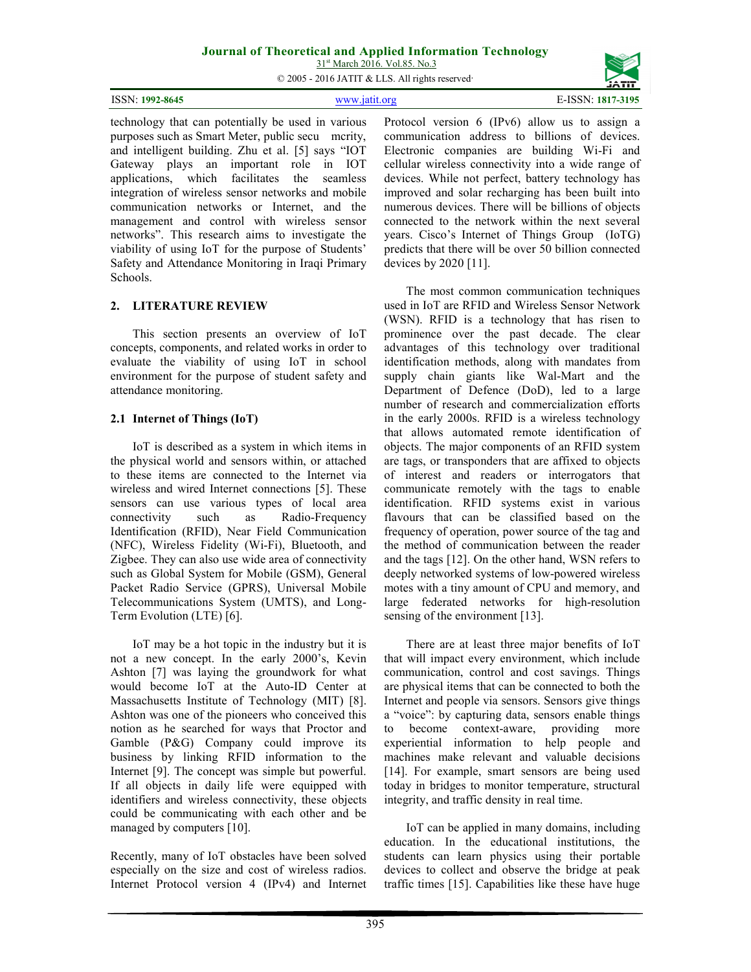31<sup>st</sup> March 2016. Vol.85. No.3

© 2005 - 2016 JATIT & LLS. All rights reserved.

| ISSN: 1992-8645 | www.jatit.org | E-ISSN: 1817-3195 |
|-----------------|---------------|-------------------|
|                 |               |                   |

technology that can potentially be used in various purposes such as Smart Meter, public secu mcrity, and intelligent building. Zhu et al. [5] says "IOT Gateway plays an important role in IOT applications, which facilitates the seamless integration of wireless sensor networks and mobile communication networks or Internet, and the management and control with wireless sensor networks". This research aims to investigate the viability of using IoT for the purpose of Students' Safety and Attendance Monitoring in Iraqi Primary Schools.

#### **2. LITERATURE REVIEW**

This section presents an overview of IoT concepts, components, and related works in order to evaluate the viability of using IoT in school environment for the purpose of student safety and attendance monitoring.

#### **2.1 Internet of Things (IoT)**

IoT is described as a system in which items in the physical world and sensors within, or attached to these items are connected to the Internet via wireless and wired Internet connections [5]. These sensors can use various types of local area connectivity such as Radio-Frequency Identification (RFID), Near Field Communication (NFC), Wireless Fidelity (Wi-Fi), Bluetooth, and Zigbee. They can also use wide area of connectivity such as Global System for Mobile (GSM), General Packet Radio Service (GPRS), Universal Mobile Telecommunications System (UMTS), and Long-Term Evolution (LTE) [6].

IoT may be a hot topic in the industry but it is not a new concept. In the early 2000's, Kevin Ashton [7] was laying the groundwork for what would become IoT at the Auto-ID Center at Massachusetts Institute of Technology (MIT) [8]. Ashton was one of the pioneers who conceived this notion as he searched for ways that Proctor and Gamble (P&G) Company could improve its business by linking RFID information to the Internet [9]. The concept was simple but powerful. If all objects in daily life were equipped with identifiers and wireless connectivity, these objects could be communicating with each other and be managed by computers [10].

Recently, many of IoT obstacles have been solved especially on the size and cost of wireless radios. Internet Protocol version 4 (IPv4) and Internet Protocol version 6 (IPv6) allow us to assign a communication address to billions of devices. Electronic companies are building Wi-Fi and cellular wireless connectivity into a wide range of devices. While not perfect, battery technology has improved and solar recharging has been built into numerous devices. There will be billions of objects connected to the network within the next several years. Cisco's Internet of Things Group (IoTG) predicts that there will be over 50 billion connected devices by 2020 [11].

The most common communication techniques used in IoT are RFID and Wireless Sensor Network (WSN). RFID is a technology that has risen to prominence over the past decade. The clear advantages of this technology over traditional identification methods, along with mandates from supply chain giants like Wal-Mart and the Department of Defence (DoD), led to a large number of research and commercialization efforts in the early 2000s. RFID is a wireless technology that allows automated remote identification of objects. The major components of an RFID system are tags, or transponders that are affixed to objects of interest and readers or interrogators that communicate remotely with the tags to enable identification. RFID systems exist in various flavours that can be classified based on the frequency of operation, power source of the tag and the method of communication between the reader and the tags [12]. On the other hand, WSN refers to deeply networked systems of low-powered wireless motes with a tiny amount of CPU and memory, and large federated networks for high-resolution sensing of the environment [13].

There are at least three major benefits of IoT that will impact every environment, which include communication, control and cost savings. Things are physical items that can be connected to both the Internet and people via sensors. Sensors give things a "voice": by capturing data, sensors enable things to become context-aware, providing more experiential information to help people and machines make relevant and valuable decisions [14]. For example, smart sensors are being used today in bridges to monitor temperature, structural integrity, and traffic density in real time.

IoT can be applied in many domains, including education. In the educational institutions, the students can learn physics using their portable devices to collect and observe the bridge at peak traffic times [15]. Capabilities like these have huge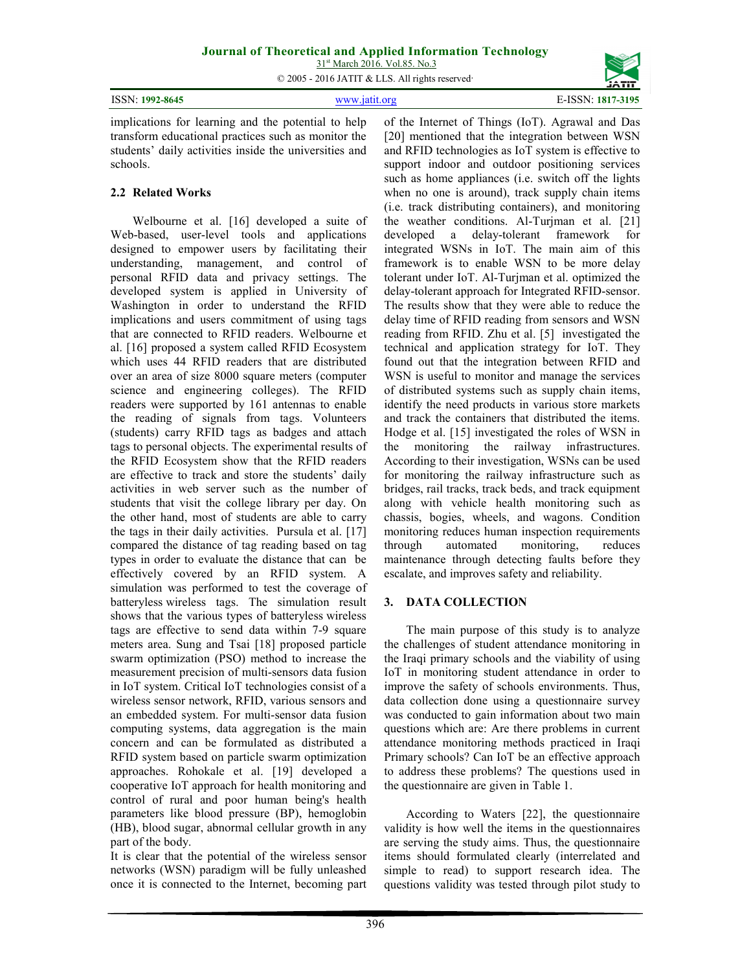31<sup>st</sup> March 2016. Vol.85. No.3 © 2005 - 2016 JATIT & LLS. All rights reserved.

|                 | $\cup$ 2005 - 2016 JATH & LLS. All rights reserved | $\sim$ $\sim$ $\sim$ $\sim$ $\sim$<br><b>JAIII</b> |
|-----------------|----------------------------------------------------|----------------------------------------------------|
| ISSN: 1992-8645 | www.jatit.org                                      | E-ISSN: 1817-3195                                  |
|                 |                                                    |                                                    |

implications for learning and the potential to help transform educational practices such as monitor the students' daily activities inside the universities and schools.

# **2.2 Related Works**

Welbourne et al. [16] developed a suite of Web-based, user-level tools and applications designed to empower users by facilitating their understanding, management, and control of personal RFID data and privacy settings. The developed system is applied in University of Washington in order to understand the RFID implications and users commitment of using tags that are connected to RFID readers. Welbourne et al. [16] proposed a system called RFID Ecosystem which uses 44 RFID readers that are distributed over an area of size 8000 square meters (computer science and engineering colleges). The RFID readers were supported by 161 antennas to enable the reading of signals from tags. Volunteers (students) carry RFID tags as badges and attach tags to personal objects. The experimental results of the RFID Ecosystem show that the RFID readers are effective to track and store the students' daily activities in web server such as the number of students that visit the college library per day. On the other hand, most of students are able to carry the tags in their daily activities. Pursula et al. [17] compared the distance of tag reading based on tag types in order to evaluate the distance that can be effectively covered by an RFID system. A simulation was performed to test the coverage of batteryless wireless tags. The simulation result shows that the various types of batteryless wireless tags are effective to send data within 7-9 square meters area. Sung and Tsai [18] proposed particle swarm optimization (PSO) method to increase the measurement precision of multi-sensors data fusion in IoT system. Critical IoT technologies consist of a wireless sensor network, RFID, various sensors and an embedded system. For multi-sensor data fusion computing systems, data aggregation is the main concern and can be formulated as distributed a RFID system based on particle swarm optimization approaches. Rohokale et al. [19] developed a cooperative IoT approach for health monitoring and control of rural and poor human being's health parameters like blood pressure (BP), hemoglobin (HB), blood sugar, abnormal cellular growth in any part of the body.

It is clear that the potential of the wireless sensor networks (WSN) paradigm will be fully unleashed once it is connected to the Internet, becoming part of the Internet of Things (IoT). Agrawal and Das [20] mentioned that the integration between WSN and RFID technologies as IoT system is effective to support indoor and outdoor positioning services such as home appliances (i.e. switch off the lights when no one is around), track supply chain items (i.e. track distributing containers), and monitoring the weather conditions. Al-Turjman et al. [21] developed a delay-tolerant framework for integrated WSNs in IoT. The main aim of this framework is to enable WSN to be more delay tolerant under IoT. Al-Turjman et al. optimized the delay-tolerant approach for Integrated RFID-sensor. The results show that they were able to reduce the delay time of RFID reading from sensors and WSN reading from RFID. Zhu et al. [5] investigated the technical and application strategy for IoT. They found out that the integration between RFID and WSN is useful to monitor and manage the services of distributed systems such as supply chain items, identify the need products in various store markets and track the containers that distributed the items. Hodge et al. [15] investigated the roles of WSN in the monitoring the railway infrastructures. According to their investigation, WSNs can be used for monitoring the railway infrastructure such as bridges, rail tracks, track beds, and track equipment along with vehicle health monitoring such as chassis, bogies, wheels, and wagons. Condition monitoring reduces human inspection requirements through automated monitoring, reduces maintenance through detecting faults before they escalate, and improves safety and reliability.

# **3. DATA COLLECTION**

The main purpose of this study is to analyze the challenges of student attendance monitoring in the Iraqi primary schools and the viability of using IoT in monitoring student attendance in order to improve the safety of schools environments. Thus, data collection done using a questionnaire survey was conducted to gain information about two main questions which are: Are there problems in current attendance monitoring methods practiced in Iraqi Primary schools? Can IoT be an effective approach to address these problems? The questions used in the questionnaire are given in Table 1.

According to Waters [22], the questionnaire validity is how well the items in the questionnaires are serving the study aims. Thus, the questionnaire items should formulated clearly (interrelated and simple to read) to support research idea. The questions validity was tested through pilot study to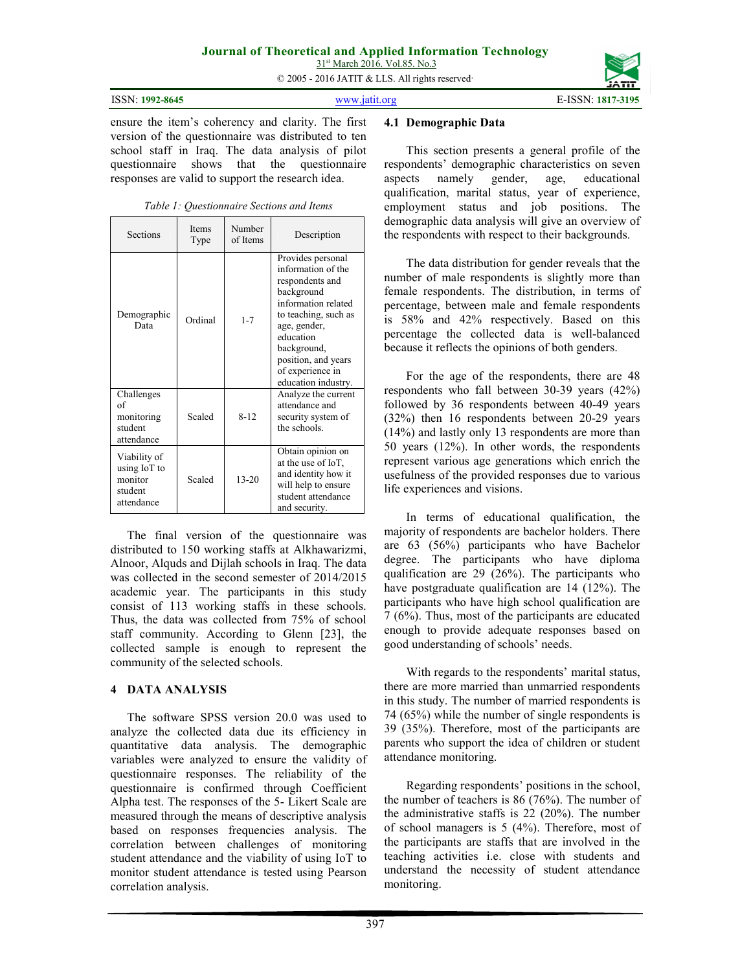31<sup>st</sup> March 2016. Vol.85. No.3

© 2005 - 2016 JATIT & LLS. All rights reserved.

| ISSN: 1992-8645 | www.jatit.org | E-ISSN: 1817-3195 |
|-----------------|---------------|-------------------|
|                 |               |                   |

ensure the item's coherency and clarity. The first version of the questionnaire was distributed to ten school staff in Iraq. The data analysis of pilot questionnaire shows that the questionnaire responses are valid to support the research idea.

| Sections                                                         | <b>Items</b><br>Type | Number<br>of Items | Description                                                                                                                                                                                                                           |
|------------------------------------------------------------------|----------------------|--------------------|---------------------------------------------------------------------------------------------------------------------------------------------------------------------------------------------------------------------------------------|
| Demographic<br>Data                                              | Ordinal              | $1 - 7$            | Provides personal<br>information of the<br>respondents and<br>background<br>information related<br>to teaching, such as<br>age, gender,<br>education<br>background,<br>position, and years<br>of experience in<br>education industry. |
| Challenges<br>of<br>monitoring<br>student<br>attendance          | Scaled               | $8 - 12$           | Analyze the current<br>attendance and<br>security system of<br>the schools.                                                                                                                                                           |
| Viability of<br>using IoT to<br>monitor<br>student<br>attendance | Scaled               | $13 - 20$          | Obtain opinion on<br>at the use of IoT,<br>and identity how it<br>will help to ensure<br>student attendance<br>and security.                                                                                                          |

*Table 1: Questionnaire Sections and Items* 

The final version of the questionnaire was distributed to 150 working staffs at Alkhawarizmi, Alnoor, Alquds and Dijlah schools in Iraq. The data was collected in the second semester of 2014/2015 academic year. The participants in this study consist of 113 working staffs in these schools. Thus, the data was collected from 75% of school staff community. According to Glenn [23], the collected sample is enough to represent the community of the selected schools.

# **4 DATA ANALYSIS**

 The software SPSS version 20.0 was used to analyze the collected data due its efficiency in quantitative data analysis. The demographic variables were analyzed to ensure the validity of questionnaire responses. The reliability of the questionnaire is confirmed through Coefficient Alpha test. The responses of the 5- Likert Scale are measured through the means of descriptive analysis based on responses frequencies analysis. The correlation between challenges of monitoring student attendance and the viability of using IoT to monitor student attendance is tested using Pearson correlation analysis.

#### **4.1 Demographic Data**

This section presents a general profile of the respondents' demographic characteristics on seven aspects namely gender, age, educational qualification, marital status, year of experience, employment status and job positions. The demographic data analysis will give an overview of the respondents with respect to their backgrounds.

The data distribution for gender reveals that the number of male respondents is slightly more than female respondents. The distribution, in terms of percentage, between male and female respondents is 58% and 42% respectively. Based on this percentage the collected data is well-balanced because it reflects the opinions of both genders.

For the age of the respondents, there are 48 respondents who fall between 30-39 years (42%) followed by 36 respondents between 40-49 years (32%) then 16 respondents between 20-29 years (14%) and lastly only 13 respondents are more than 50 years (12%). In other words, the respondents represent various age generations which enrich the usefulness of the provided responses due to various life experiences and visions.

In terms of educational qualification, the majority of respondents are bachelor holders. There are 63 (56%) participants who have Bachelor degree. The participants who have diploma qualification are 29 (26%). The participants who have postgraduate qualification are 14 (12%). The participants who have high school qualification are 7 (6%). Thus, most of the participants are educated enough to provide adequate responses based on good understanding of schools' needs.

With regards to the respondents' marital status, there are more married than unmarried respondents in this study. The number of married respondents is 74 (65%) while the number of single respondents is 39 (35%). Therefore, most of the participants are parents who support the idea of children or student attendance monitoring.

Regarding respondents' positions in the school, the number of teachers is 86 (76%). The number of the administrative staffs is 22 (20%). The number of school managers is 5 (4%). Therefore, most of the participants are staffs that are involved in the teaching activities i.e. close with students and understand the necessity of student attendance monitoring.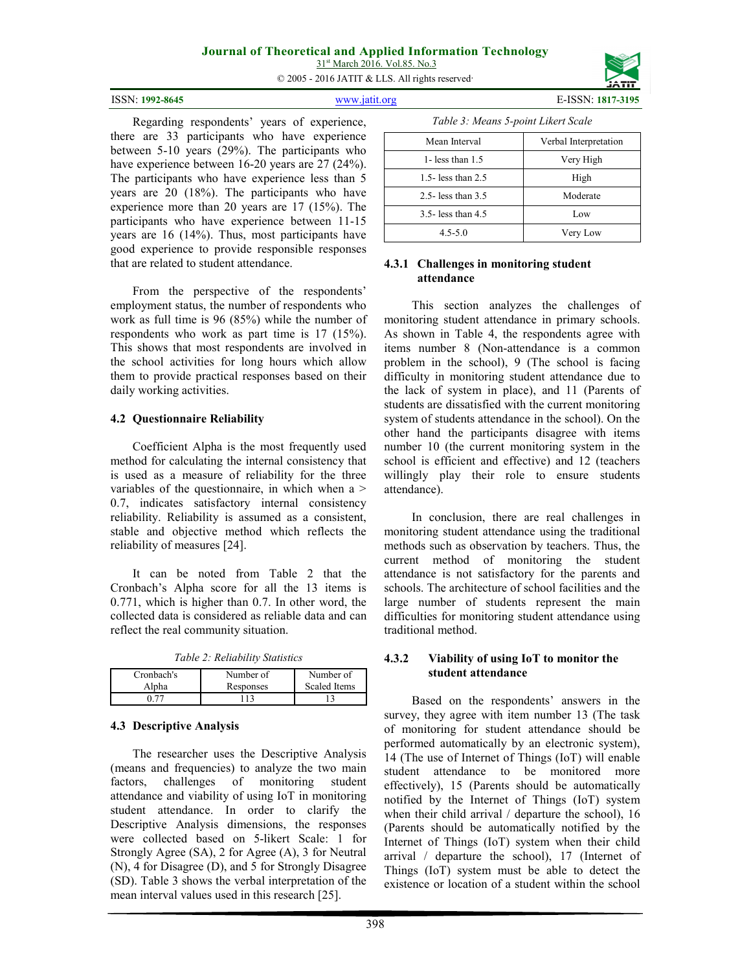31<sup>st</sup> March 2016. Vol.85. No.3

© 2005 - 2016 JATIT & LLS. All rights reserved.

| ISSN: 1992-8645 | www.jatit.org | E-ISSN: 1817-3195 |
|-----------------|---------------|-------------------|
|                 |               |                   |

Regarding respondents' years of experience, there are 33 participants who have experience between 5-10 years (29%). The participants who have experience between 16-20 years are 27 (24%). The participants who have experience less than 5 years are 20 (18%). The participants who have experience more than 20 years are 17 (15%). The participants who have experience between 11-15 years are 16 (14%). Thus, most participants have good experience to provide responsible responses that are related to student attendance.

From the perspective of the respondents' employment status, the number of respondents who work as full time is 96 (85%) while the number of respondents who work as part time is 17 (15%). This shows that most respondents are involved in the school activities for long hours which allow them to provide practical responses based on their daily working activities.

#### **4.2 Questionnaire Reliability**

Coefficient Alpha is the most frequently used method for calculating the internal consistency that is used as a measure of reliability for the three variables of the questionnaire, in which when  $a >$ 0.7, indicates satisfactory internal consistency reliability. Reliability is assumed as a consistent, stable and objective method which reflects the reliability of measures [24].

It can be noted from Table 2 that the Cronbach's Alpha score for all the 13 items is 0.771, which is higher than 0.7. In other word, the collected data is considered as reliable data and can reflect the real community situation.

*Table 2: Reliability Statistics* 

| Cronbach's | Number of | Number of    |
|------------|-----------|--------------|
| Alpha      | Responses | Scaled Items |
|            | -13       |              |

#### **4.3 Descriptive Analysis**

The researcher uses the Descriptive Analysis (means and frequencies) to analyze the two main factors, challenges of monitoring student attendance and viability of using IoT in monitoring student attendance. In order to clarify the Descriptive Analysis dimensions, the responses were collected based on 5-likert Scale: 1 for Strongly Agree (SA), 2 for Agree (A), 3 for Neutral (N), 4 for Disagree (D), and 5 for Strongly Disagree (SD). Table 3 shows the verbal interpretation of the mean interval values used in this research [25].

|  | 4.3.1 Challenges in monitoring student<br>attendance |  |  |                                                                                                                                                                                                                                                                            |  |  |
|--|------------------------------------------------------|--|--|----------------------------------------------------------------------------------------------------------------------------------------------------------------------------------------------------------------------------------------------------------------------------|--|--|
|  |                                                      |  |  | This section analyzes the challenges of<br>$\sim$ . The state of the state of the state of the state of the state of the state of the state of the state of the state of the state of the state of the state of the state of the state of the state of the state of the st |  |  |

*Table 3: Means 5-point Likert Scale*  Mean Interval Verbal Interpretation 1- less than 1.5 Very High 1.5- less than  $2.5$  High 2.5- less than 3.5 Moderate  $3.5$ - less than  $4.5$  Low 4.5-5.0 Very Low

monitoring student attendance in primary schools. As shown in Table 4, the respondents agree with items number 8 (Non-attendance is a common problem in the school), 9 (The school is facing difficulty in monitoring student attendance due to the lack of system in place), and 11 (Parents of students are dissatisfied with the current monitoring system of students attendance in the school). On the other hand the participants disagree with items number 10 (the current monitoring system in the school is efficient and effective) and 12 (teachers willingly play their role to ensure students attendance).

In conclusion, there are real challenges in monitoring student attendance using the traditional methods such as observation by teachers. Thus, the current method of monitoring the student attendance is not satisfactory for the parents and schools. The architecture of school facilities and the large number of students represent the main difficulties for monitoring student attendance using traditional method.

#### **4.3.2 Viability of using IoT to monitor the student attendance**

Based on the respondents' answers in the survey, they agree with item number 13 (The task of monitoring for student attendance should be performed automatically by an electronic system), 14 (The use of Internet of Things (IoT) will enable student attendance to be monitored more effectively), 15 (Parents should be automatically notified by the Internet of Things (IoT) system when their child arrival / departure the school), 16 (Parents should be automatically notified by the Internet of Things (IoT) system when their child arrival / departure the school), 17 (Internet of Things (IoT) system must be able to detect the existence or location of a student within the school

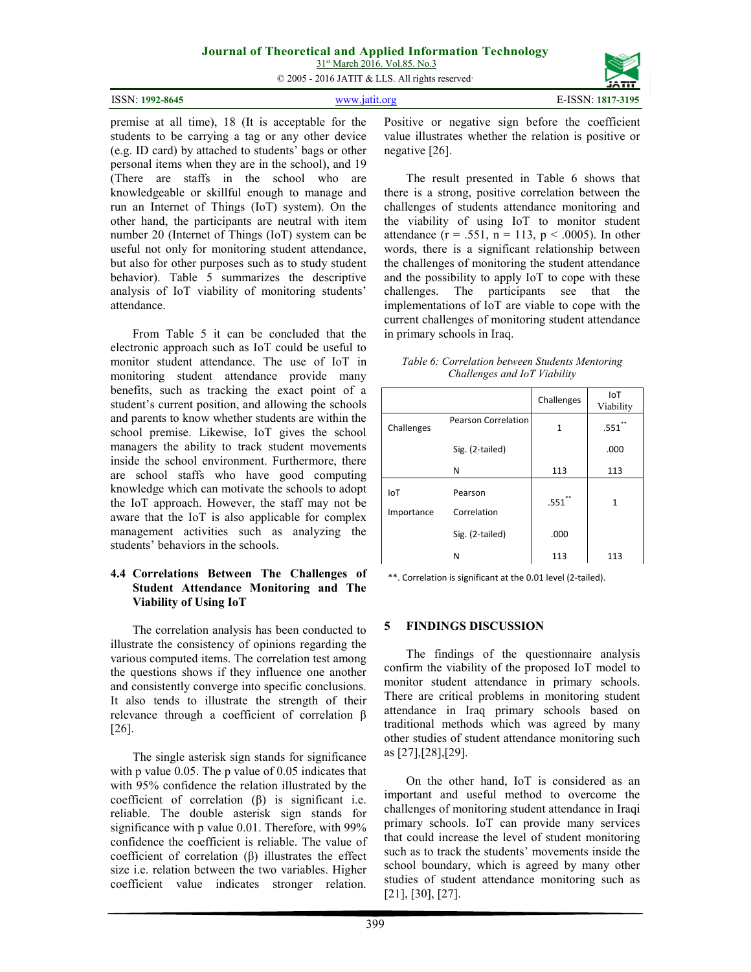31<sup>st</sup> March 2016. Vol.85. No.3

© 2005 - 2016 JATIT & LLS. All rights reserved.

| ISSN: 1992-8645 | www jatit org | ______<br>E-ISSN: 1817-3195 |
|-----------------|---------------|-----------------------------|
|                 |               |                             |

premise at all time), 18 (It is acceptable for the students to be carrying a tag or any other device (e.g. ID card) by attached to students' bags or other personal items when they are in the school), and 19 (There are staffs in the school who are knowledgeable or skillful enough to manage and run an Internet of Things (IoT) system). On the other hand, the participants are neutral with item number 20 (Internet of Things (IoT) system can be useful not only for monitoring student attendance, but also for other purposes such as to study student behavior). Table 5 summarizes the descriptive analysis of IoT viability of monitoring students' attendance.

From Table 5 it can be concluded that the electronic approach such as IoT could be useful to monitor student attendance. The use of IoT in monitoring student attendance provide many benefits, such as tracking the exact point of a student's current position, and allowing the schools and parents to know whether students are within the school premise. Likewise, IoT gives the school managers the ability to track student movements inside the school environment. Furthermore, there are school staffs who have good computing knowledge which can motivate the schools to adopt the IoT approach. However, the staff may not be aware that the IoT is also applicable for complex management activities such as analyzing the students' behaviors in the schools.

#### **4.4 Correlations Between The Challenges of Student Attendance Monitoring and The Viability of Using IoT**

The correlation analysis has been conducted to illustrate the consistency of opinions regarding the various computed items. The correlation test among the questions shows if they influence one another and consistently converge into specific conclusions. It also tends to illustrate the strength of their relevance through a coefficient of correlation β [26].

The single asterisk sign stands for significance with p value 0.05. The p value of 0.05 indicates that with 95% confidence the relation illustrated by the coefficient of correlation (β) is significant i.e. reliable. The double asterisk sign stands for significance with p value 0.01. Therefore, with 99% confidence the coefficient is reliable. The value of coefficient of correlation (β) illustrates the effect size i.e. relation between the two variables. Higher coefficient value indicates stronger relation.

Positive or negative sign before the coefficient value illustrates whether the relation is positive or negative [26].

The result presented in Table 6 shows that there is a strong, positive correlation between the challenges of students attendance monitoring and the viability of using IoT to monitor student attendance ( $r = .551$ ,  $n = 113$ ,  $p < .0005$ ). In other words, there is a significant relationship between the challenges of monitoring the student attendance and the possibility to apply IoT to cope with these challenges. The participants see that the implementations of IoT are viable to cope with the current challenges of monitoring student attendance in primary schools in Iraq.

| Table 6: Correlation between Students Mentoring |
|-------------------------------------------------|
| Challenges and IoT Viability                    |

|                   |                            | Challenges        | IoT<br>Viability |
|-------------------|----------------------------|-------------------|------------------|
| Challenges        | <b>Pearson Correlation</b> | 1                 | .551             |
|                   | Sig. (2-tailed)            |                   | .000             |
|                   | N                          | 113               | 113              |
| IoT<br>Importance | Pearson<br>Correlation     | .551 <sup>°</sup> | 1                |
|                   | Sig. (2-tailed)            | .000              |                  |
|                   | N                          | 113               | 113              |

\*\*. Correlation is significant at the 0.01 level (2-tailed).

#### **5 FINDINGS DISCUSSION**

 The findings of the questionnaire analysis confirm the viability of the proposed IoT model to monitor student attendance in primary schools. There are critical problems in monitoring student attendance in Iraq primary schools based on traditional methods which was agreed by many other studies of student attendance monitoring such as [27],[28],[29].

 On the other hand, IoT is considered as an important and useful method to overcome the challenges of monitoring student attendance in Iraqi primary schools. IoT can provide many services that could increase the level of student monitoring such as to track the students' movements inside the school boundary, which is agreed by many other studies of student attendance monitoring such as [21], [30], [27].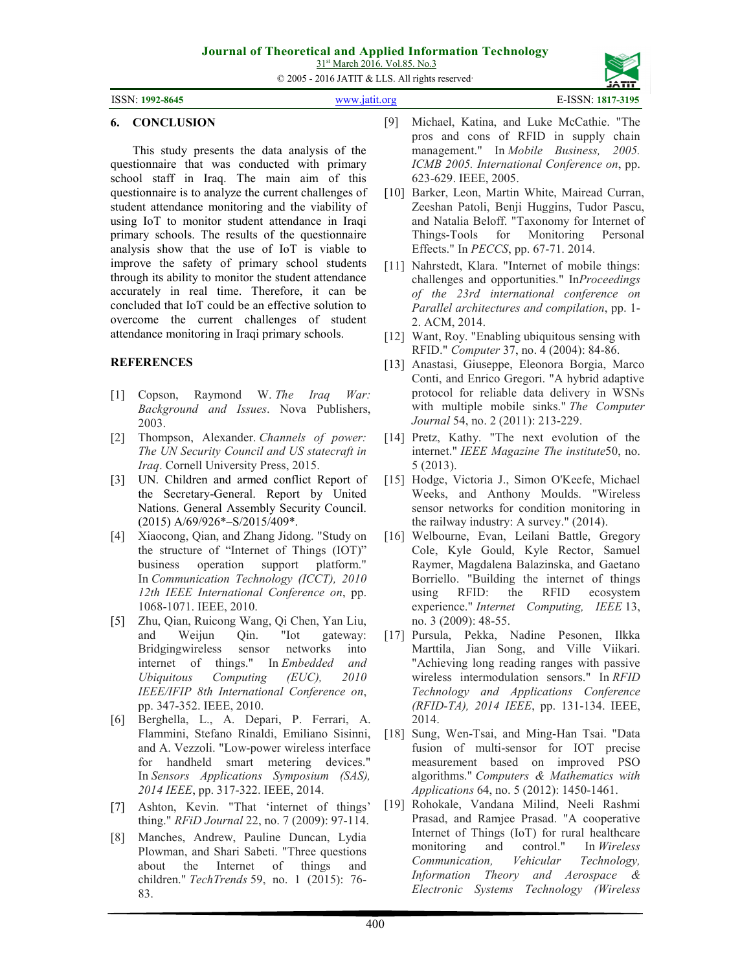31<sup>st</sup> March 2016. Vol.85. No.3

© 2005 - 2016 JATIT & LLS. All rights reserved.

#### **6. CONCLUSION**

This study presents the data analysis of the questionnaire that was conducted with primary school staff in Iraq. The main aim of this questionnaire is to analyze the current challenges of student attendance monitoring and the viability of using IoT to monitor student attendance in Iraqi primary schools. The results of the questionnaire analysis show that the use of IoT is viable to improve the safety of primary school students through its ability to monitor the student attendance accurately in real time. Therefore, it can be concluded that IoT could be an effective solution to overcome the current challenges of student attendance monitoring in Iraqi primary schools.

# **REFERENCES**

- [1] Copson, Raymond W. *The Iraq War: Background and Issues*. Nova Publishers, 2003.
- [2] Thompson, Alexander. *Channels of power: The UN Security Council and US statecraft in Iraq*. Cornell University Press, 2015.
- [3] UN. Children and armed conflict Report of the Secretary-General. Report by United Nations. General Assembly Security Council. (2015) A/69/926\*–S/2015/409\*.
- [4] Xiaocong, Qian, and Zhang Jidong. "Study on the structure of "Internet of Things (IOT)" business operation support platform." In *Communication Technology (ICCT), 2010 12th IEEE International Conference on*, pp. 1068-1071. IEEE, 2010.
- [5] Zhu, Qian, Ruicong Wang, Qi Chen, Yan Liu, and Weijun Qin. "Iot gateway: Bridgingwireless sensor networks into internet of things." In *Embedded and Ubiquitous Computing (EUC), 2010 IEEE/IFIP 8th International Conference on*, pp. 347-352. IEEE, 2010.
- [6] Berghella, L., A. Depari, P. Ferrari, A. Flammini, Stefano Rinaldi, Emiliano Sisinni, and A. Vezzoli. "Low-power wireless interface for handheld smart metering devices." In *Sensors Applications Symposium (SAS), 2014 IEEE*, pp. 317-322. IEEE, 2014.
- [7] Ashton, Kevin. "That 'internet of things' thing." *RFiD Journal* 22, no. 7 (2009): 97-114.
- [8] Manches, Andrew, Pauline Duncan, Lydia Plowman, and Shari Sabeti. "Three questions about the Internet of things and children." *TechTrends* 59, no. 1 (2015): 76- 83.
- [9] Michael, Katina, and Luke McCathie. "The pros and cons of RFID in supply chain management." In *Mobile Business, 2005. ICMB 2005. International Conference on*, pp. 623-629. IEEE, 2005.
- [10] Barker, Leon, Martin White, Mairead Curran, Zeeshan Patoli, Benji Huggins, Tudor Pascu, and Natalia Beloff. "Taxonomy for Internet of Things-Tools for Monitoring Personal Effects." In *PECCS*, pp. 67-71. 2014.
- [11] Nahrstedt, Klara. "Internet of mobile things: challenges and opportunities." In*Proceedings of the 23rd international conference on Parallel architectures and compilation*, pp. 1- 2. ACM, 2014.
- [12] Want, Roy. "Enabling ubiquitous sensing with RFID." *Computer* 37, no. 4 (2004): 84-86.
- [13] Anastasi, Giuseppe, Eleonora Borgia, Marco Conti, and Enrico Gregori. "A hybrid adaptive protocol for reliable data delivery in WSNs with multiple mobile sinks." *The Computer Journal* 54, no. 2 (2011): 213-229.
- [14] Pretz, Kathy. "The next evolution of the internet." *IEEE Magazine The institute*50, no. 5 (2013).
- [15] Hodge, Victoria J., Simon O'Keefe, Michael Weeks, and Anthony Moulds. "Wireless sensor networks for condition monitoring in the railway industry: A survey." (2014).
- [16] Welbourne, Evan, Leilani Battle, Gregory Cole, Kyle Gould, Kyle Rector, Samuel Raymer, Magdalena Balazinska, and Gaetano Borriello. "Building the internet of things using RFID: the RFID ecosystem experience." *Internet Computing, IEEE* 13, no. 3 (2009): 48-55.
- [17] Pursula, Pekka, Nadine Pesonen, Ilkka Marttila, Jian Song, and Ville Viikari. "Achieving long reading ranges with passive wireless intermodulation sensors." In *RFID Technology and Applications Conference (RFID-TA), 2014 IEEE*, pp. 131-134. IEEE, 2014.
- [18] Sung, Wen-Tsai, and Ming-Han Tsai. "Data fusion of multi-sensor for IOT precise measurement based on improved PSO algorithms." *Computers & Mathematics with Applications* 64, no. 5 (2012): 1450-1461.
- [19] Rohokale, Vandana Milind, Neeli Rashmi Prasad, and Ramjee Prasad. "A cooperative Internet of Things (IoT) for rural healthcare monitoring and control." In *Wireless Communication, Vehicular Technology, Information Theory and Aerospace & Electronic Systems Technology (Wireless*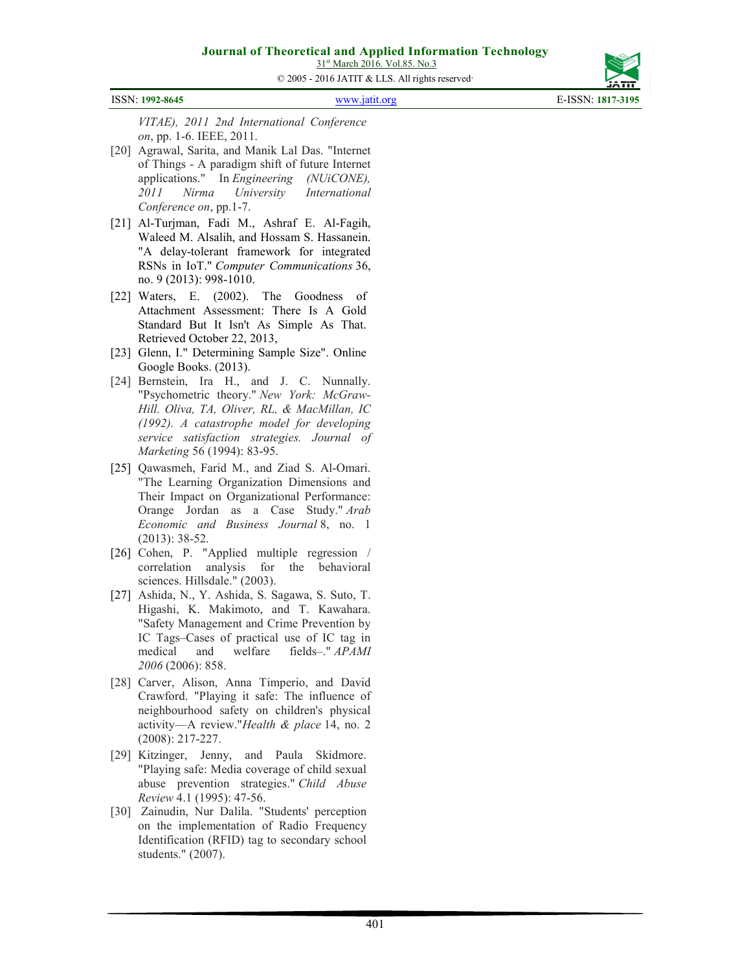| <b>Journal of Theoretical and Applied Information Technology</b><br>31 <sup>st</sup> March 2016. Vol.85. No.3<br>© 2005 - 2016 JATIT & LLS. All rights reserved                                                                                                                                                     |                   |
|---------------------------------------------------------------------------------------------------------------------------------------------------------------------------------------------------------------------------------------------------------------------------------------------------------------------|-------------------|
| ISSN: 1992-8645<br>www.jatit.org                                                                                                                                                                                                                                                                                    | E-ISSN: 1817-3195 |
| VITAE), 2011 2nd International Conference<br>on, pp. 1-6. IEEE, 2011.<br>[20] Agrawal, Sarita, and Manik Lal Das. "Internet<br>of Things - A paradigm shift of future Internet<br>applications." In <i>Engineering (NUiCONE)</i> ,<br>2011<br>Nirma<br>University<br><i>International</i><br>Conference on, pp.1-7. |                   |
| [21] Al-Turjman, Fadi M., Ashraf E. Al-Fagih,<br>Waleed M. Alsalih, and Hossam S. Hassanein.<br>"A delay-tolerant framework for integrated<br>RSNs in IoT." Computer Communications 36,<br>no. 9 (2013): 998-1010.                                                                                                  |                   |
| [22] Waters, E. (2002). The Goodness of<br>Attachment Assessment: There Is A Gold<br>Standard But It Isn't As Simple As That.<br>Retrieved October 22, 2013,                                                                                                                                                        |                   |
| [23] Glenn, I." Determining Sample Size". Online<br>Google Books. (2013).                                                                                                                                                                                                                                           |                   |
| [24] Bernstein, Ira H., and J. C. Nunnally.<br>"Psychometric theory." New York: McGraw-<br>Hill. Oliva, TA, Oliver, RL, & MacMillan, IC<br>(1992). A catastrophe model for developing<br>service satisfaction strategies. Journal of<br>Marketing 56 (1994): 83-95.                                                 |                   |
| [25] Qawasmeh, Farid M., and Ziad S. Al-Omari.<br>"The Learning Organization Dimensions and<br>Their Impact on Organizational Performance:<br>Orange Jordan as a Case Study." Arab<br>Economic and Business Journal 8, no. 1<br>$(2013): 38-52.$                                                                    |                   |
| [26] Cohen, P. "Applied multiple regression /<br>correlation analysis<br>the<br>behavioral<br>for                                                                                                                                                                                                                   |                   |
| sciences. Hillsdale." (2003).<br>[27] Ashida, N., Y. Ashida, S. Sagawa, S. Suto, T.<br>Higashi, K. Makimoto, and T. Kawahara.<br>"Safety Management and Crime Prevention by<br>IC Tags-Cases of practical use of IC tag in<br>fields-." APAMI<br>medical<br>and<br>welfare<br>2006 (2006): 858.                     |                   |
| [28] Carver, Alison, Anna Timperio, and David<br>Crawford. "Playing it safe: The influence of<br>neighbourhood safety on children's physical<br>activity-A review."Health & place 14, no. 2<br>$(2008): 217-227.$                                                                                                   |                   |
| [29] Kitzinger, Jenny,<br>and Paula Skidmore.<br>"Playing safe: Media coverage of child sexual<br>abuse prevention strategies." Child Abuse<br>Review 4.1 (1995): 47-56.                                                                                                                                            |                   |
| [30] Zainudin, Nur Dalila. "Students' perception<br>on the implementation of Radio Frequency<br>Identification (RFID) tag to secondary school<br>students." (2007).                                                                                                                                                 |                   |